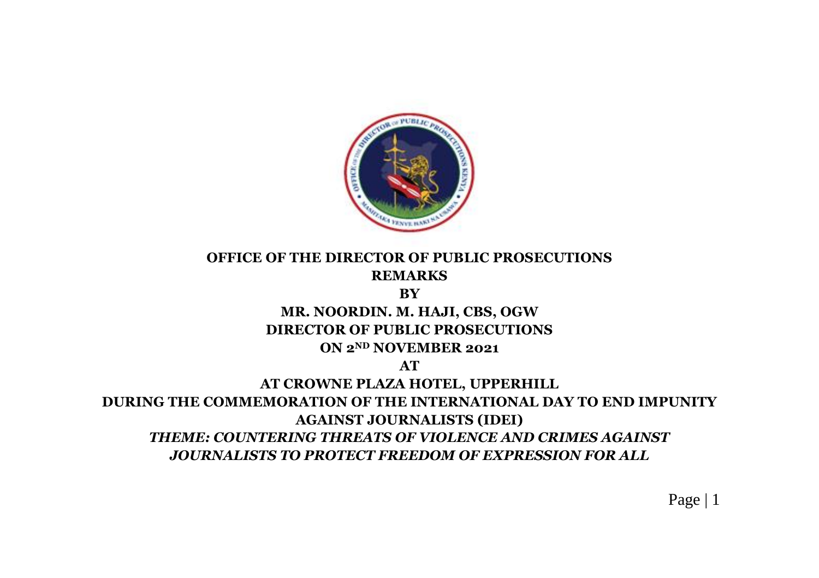

## **OFFICE OF THE DIRECTOR OF PUBLIC PROSECUTIONS REMARKS**

#### **BY**

# **MR. NOORDIN. M. HAJI, CBS, OGW DIRECTOR OF PUBLIC PROSECUTIONS**

#### **ON 2ND NOVEMBER 2021**

**AT**

## **AT CROWNE PLAZA HOTEL, UPPERHILL DURING THE COMMEMORATION OF THE INTERNATIONAL DAY TO END IMPUNITY AGAINST JOURNALISTS (IDEI)** *THEME: COUNTERING THREATS OF VIOLENCE AND CRIMES AGAINST JOURNALISTS TO PROTECT FREEDOM OF EXPRESSION FOR ALL*

Page | 1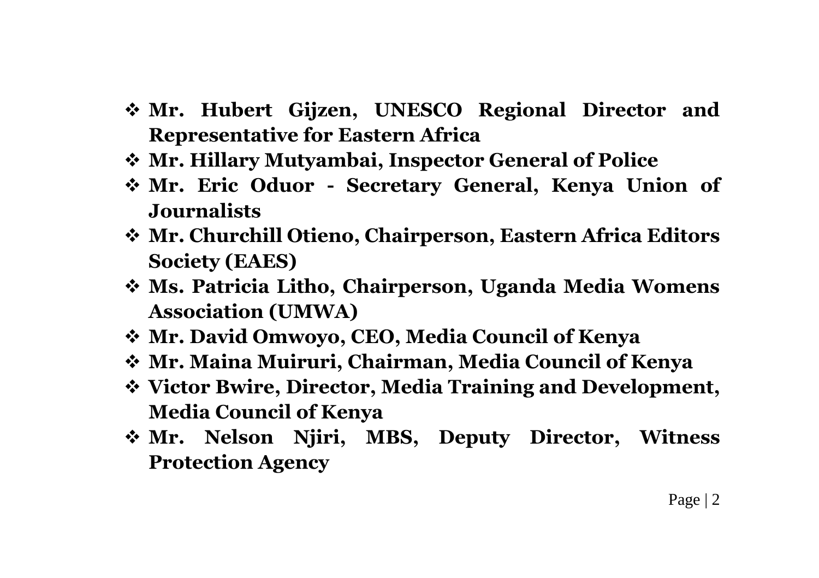- **Mr. Hubert Gijzen, UNESCO Regional Director and Representative for Eastern Africa**
- **Mr. Hillary Mutyambai, Inspector General of Police**
- **Mr. Eric Oduor - Secretary General, Kenya Union of Journalists**
- **Mr. Churchill Otieno, Chairperson, Eastern Africa Editors Society (EAES)**
- **Ms. Patricia Litho, Chairperson, Uganda Media Womens Association (UMWA)**
- **Mr. David Omwoyo, CEO, Media Council of Kenya**
- **Mr. Maina Muiruri, Chairman, Media Council of Kenya**
- **Victor Bwire, Director, Media Training and Development, Media Council of Kenya**
- **Mr. Nelson Njiri, MBS, Deputy Director, Witness Protection Agency**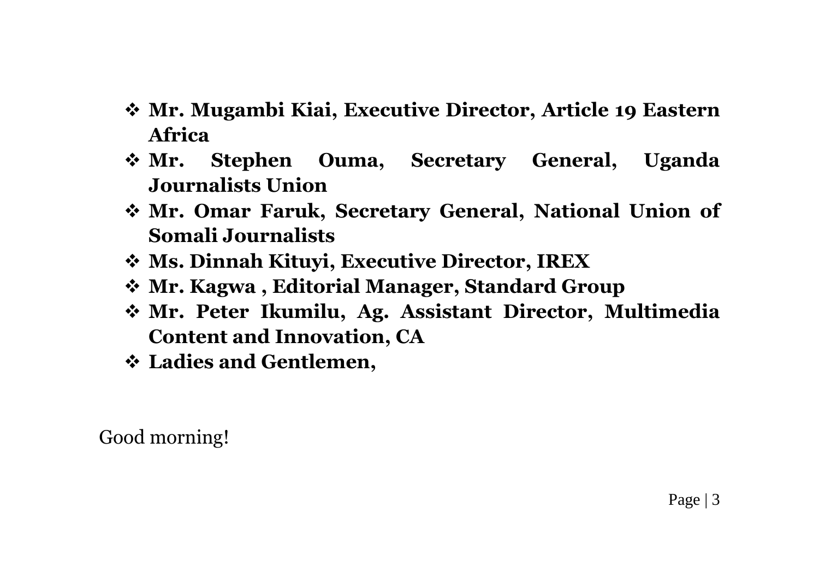- **Mr. Mugambi Kiai, Executive Director, Article 19 Eastern Africa**
- **Mr. Stephen Ouma, Secretary General, Uganda Journalists Union**
- **Mr. Omar Faruk, Secretary General, National Union of Somali Journalists**
- **Ms. Dinnah Kituyi, Executive Director, IREX**
- **Mr. Kagwa , Editorial Manager, Standard Group**
- **Mr. Peter Ikumilu, Ag. Assistant Director, Multimedia Content and Innovation, CA**
- **Ladies and Gentlemen,**

Good morning!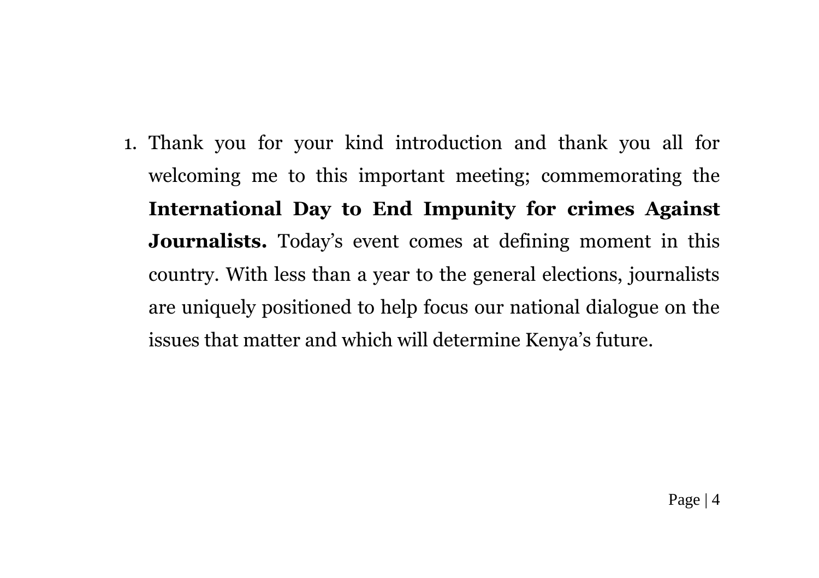1. Thank you for your kind introduction and thank you all for welcoming me to this important meeting; commemorating the **International Day to End Impunity for crimes Against Journalists.** Today's event comes at defining moment in this country. With less than a year to the general elections, journalists are uniquely positioned to help focus our national dialogue on the issues that matter and which will determine Kenya's future.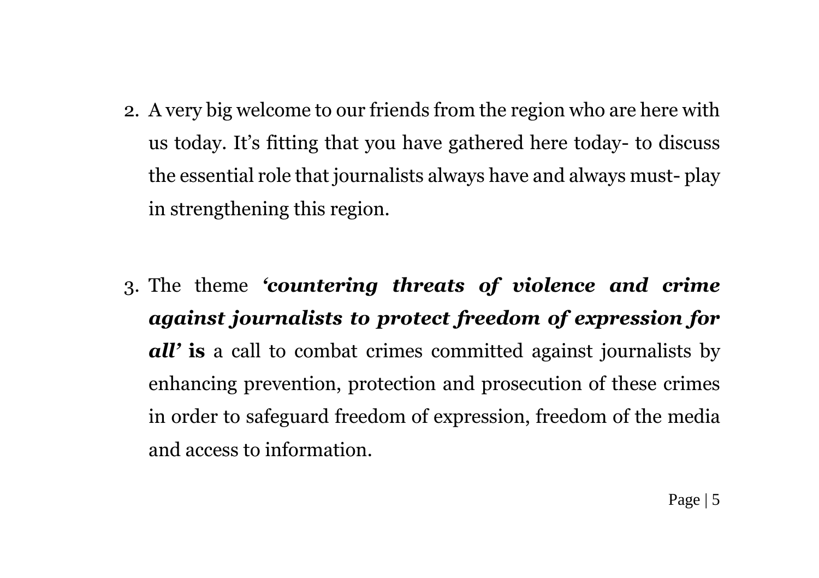- 2. A very big welcome to our friends from the region who are here with us today. It's fitting that you have gathered here today- to discuss the essential role that journalists always have and always must- play in strengthening this region.
- 3. The theme *'countering threats of violence and crime against journalists to protect freedom of expression for all'* **is** a call to combat crimes committed against journalists by enhancing prevention, protection and prosecution of these crimes in order to safeguard freedom of expression, freedom of the media and access to information.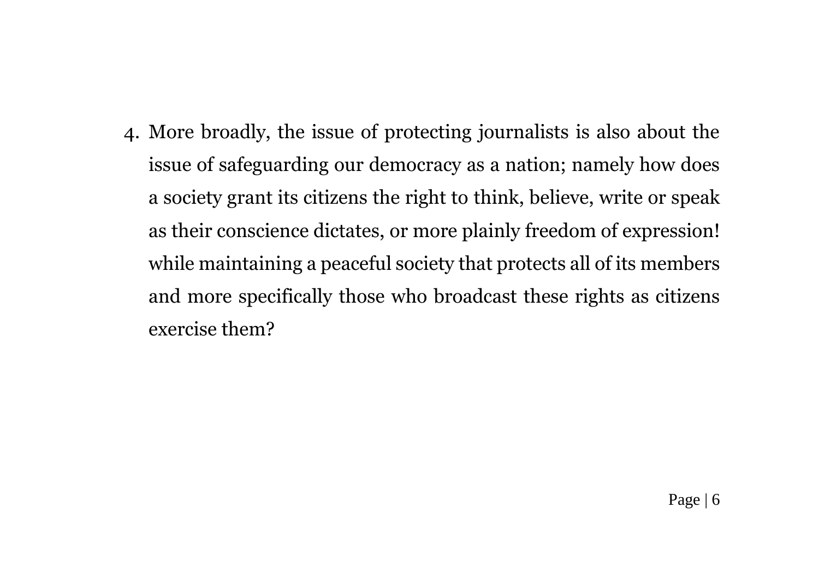4. More broadly, the issue of protecting journalists is also about the issue of safeguarding our democracy as a nation; namely how does a society grant its citizens the right to think, believe, write or speak as their conscience dictates, or more plainly freedom of expression! while maintaining a peaceful society that protects all of its members and more specifically those who broadcast these rights as citizens exercise them?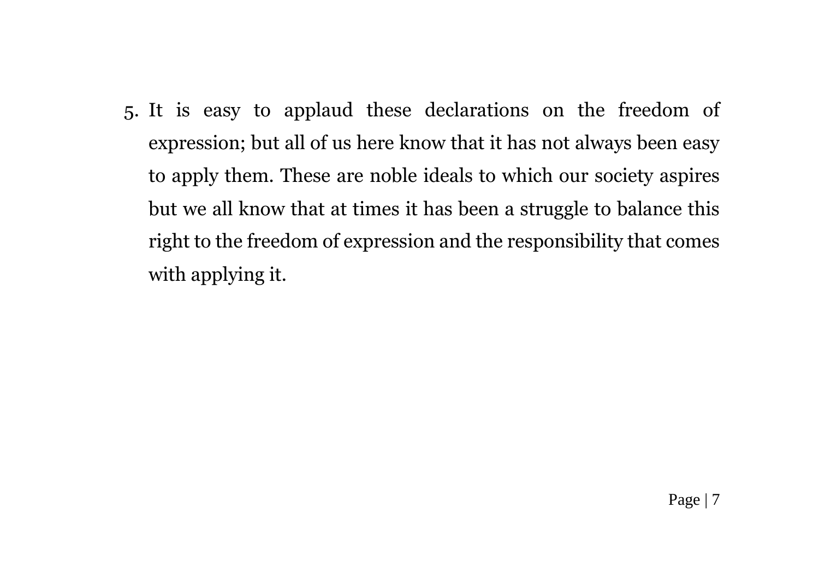5. It is easy to applaud these declarations on the freedom of expression; but all of us here know that it has not always been easy to apply them. These are noble ideals to which our society aspires but we all know that at times it has been a struggle to balance this right to the freedom of expression and the responsibility that comes with applying it.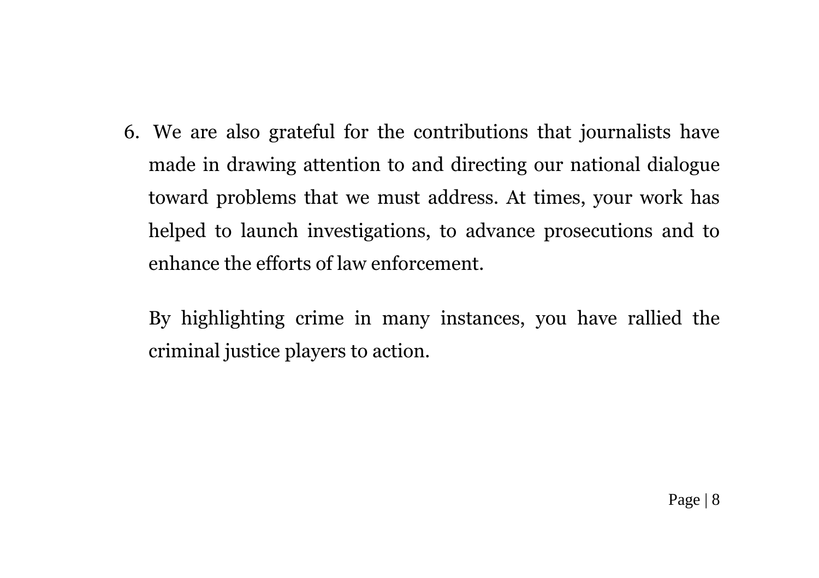6. We are also grateful for the contributions that journalists have made in drawing attention to and directing our national dialogue toward problems that we must address. At times, your work has helped to launch investigations, to advance prosecutions and to enhance the efforts of law enforcement.

By highlighting crime in many instances, you have rallied the criminal justice players to action.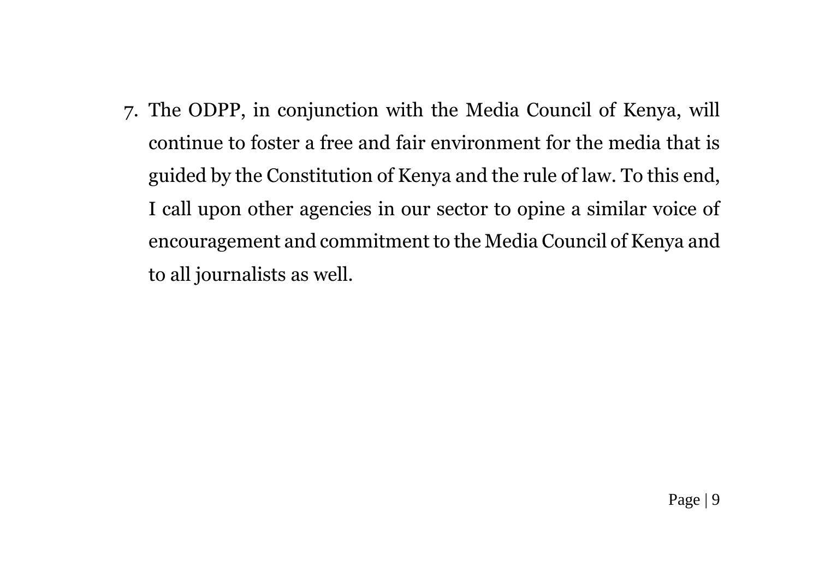7. The ODPP, in conjunction with the Media Council of Kenya, will continue to foster a free and fair environment for the media that is guided by the Constitution of Kenya and the rule of law. To this end, I call upon other agencies in our sector to opine a similar voice of encouragement and commitment to the Media Council of Kenya and to all journalists as well.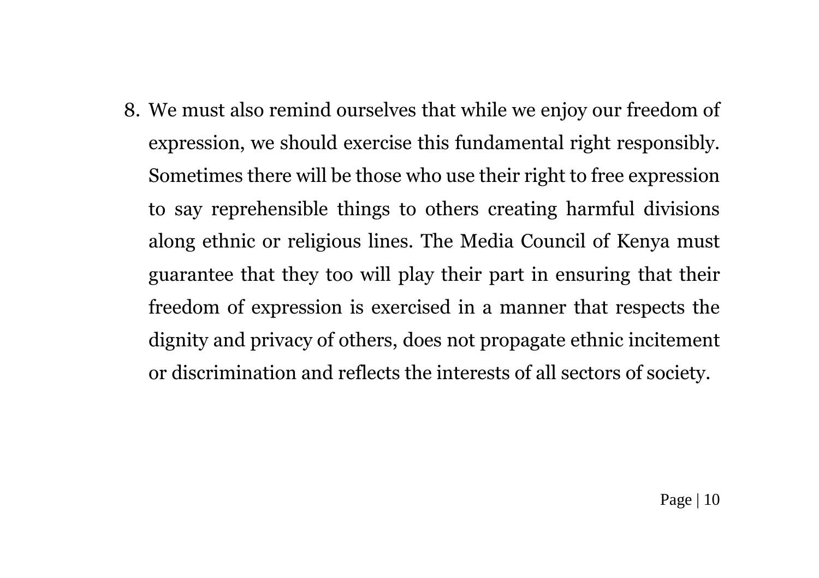8. We must also remind ourselves that while we enjoy our freedom of expression, we should exercise this fundamental right responsibly. Sometimes there will be those who use their right to free expression to say reprehensible things to others creating harmful divisions along ethnic or religious lines. The Media Council of Kenya must guarantee that they too will play their part in ensuring that their freedom of expression is exercised in a manner that respects the dignity and privacy of others, does not propagate ethnic incitement or discrimination and reflects the interests of all sectors of society.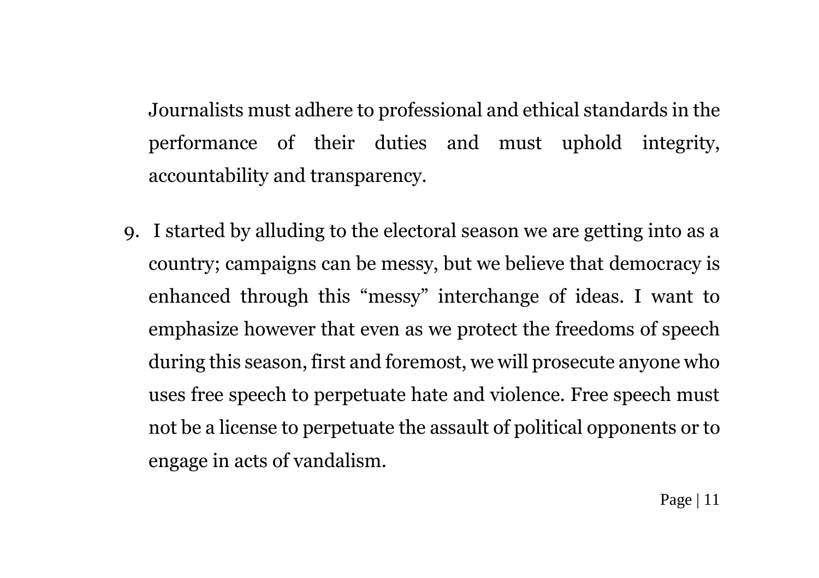Journalists must adhere to professional and ethical standards in the performance of their duties and must uphold integrity, accountability and transparency.

9. I started by alluding to the electoral season we are getting into as a country; campaigns can be messy, but we believe that democracy is enhanced through this "messy" interchange of ideas. I want to emphasize however that even as we protect the freedoms of speech during this season, first and foremost, we will prosecute anyone who uses free speech to perpetuate hate and violence. Free speech must not be a license to perpetuate the assault of political opponents or to engage in acts of vandalism.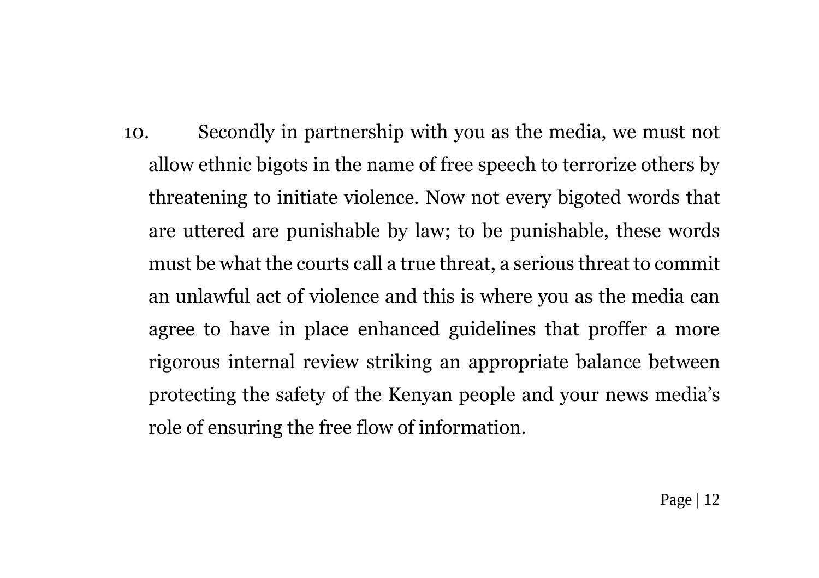10. Secondly in partnership with you as the media, we must not allow ethnic bigots in the name of free speech to terrorize others by threatening to initiate violence. Now not every bigoted words that are uttered are punishable by law; to be punishable, these words must be what the courts call a true threat, a serious threat to commit an unlawful act of violence and this is where you as the media can agree to have in place enhanced guidelines that proffer a more rigorous internal review striking an appropriate balance between protecting the safety of the Kenyan people and your news media's role of ensuring the free flow of information.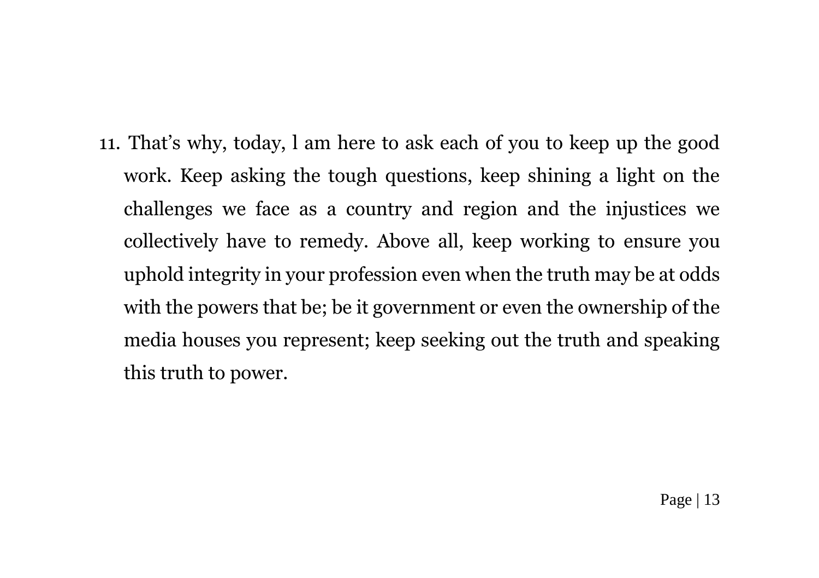11. That's why, today, l am here to ask each of you to keep up the good work. Keep asking the tough questions, keep shining a light on the challenges we face as a country and region and the injustices we collectively have to remedy. Above all, keep working to ensure you uphold integrity in your profession even when the truth may be at odds with the powers that be; be it government or even the ownership of the media houses you represent; keep seeking out the truth and speaking this truth to power.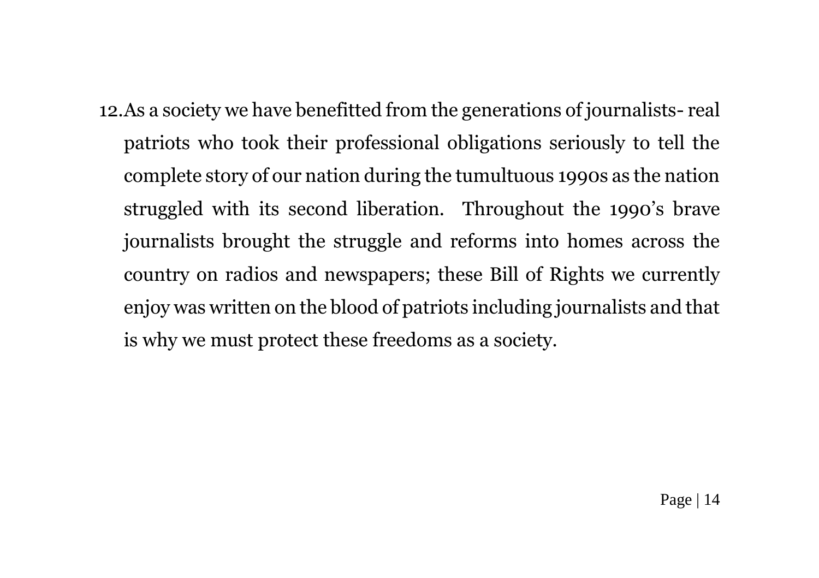12.As a society we have benefitted from the generations of journalists- real patriots who took their professional obligations seriously to tell the complete story of our nation during the tumultuous 1990s as the nation struggled with its second liberation. Throughout the 1990's brave journalists brought the struggle and reforms into homes across the country on radios and newspapers; these Bill of Rights we currently enjoy was written on the blood of patriots including journalists and that is why we must protect these freedoms as a society.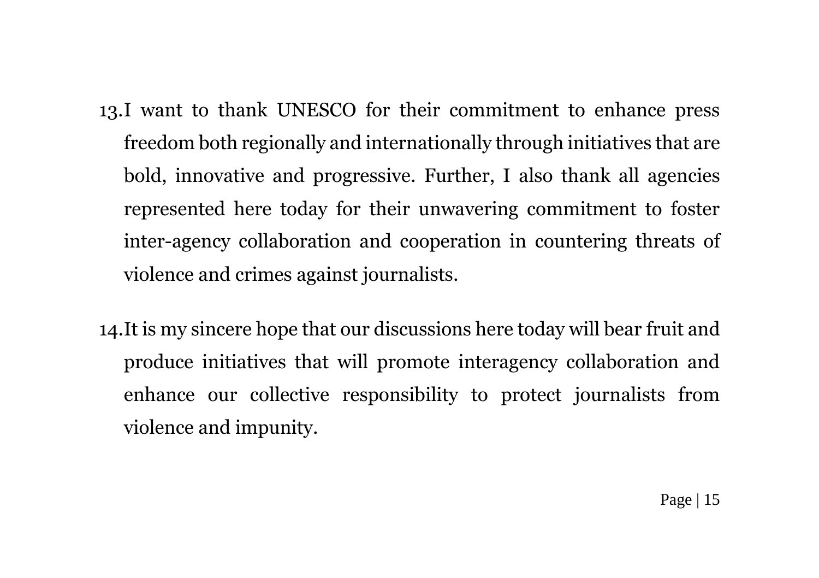- 13.I want to thank UNESCO for their commitment to enhance press freedom both regionally and internationally through initiatives that are bold, innovative and progressive. Further, I also thank all agencies represented here today for their unwavering commitment to foster inter-agency collaboration and cooperation in countering threats of violence and crimes against journalists.
- 14.It is my sincere hope that our discussions here today will bear fruit and produce initiatives that will promote interagency collaboration and enhance our collective responsibility to protect journalists from violence and impunity.